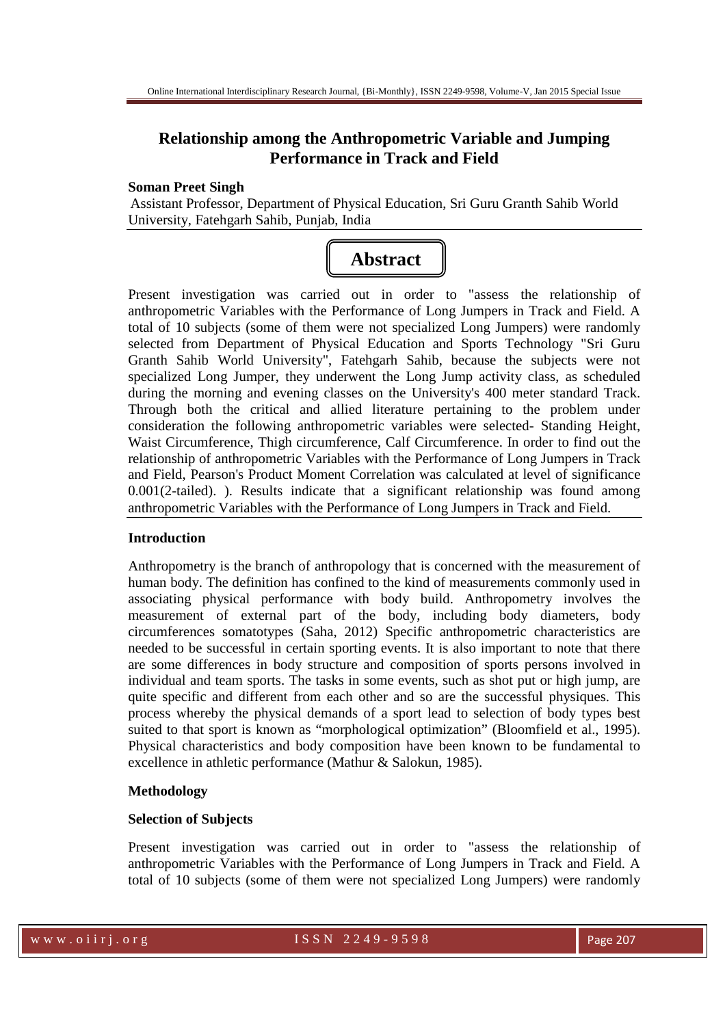# **Relationship among the Anthropometric Variable and Jumping Performance in Track and Field**

#### **Soman Preet Singh**

Assistant Professor, Department of Physical Education, Sri Guru Granth Sahib World University, Fatehgarh Sahib, Punjab, India

# **Abstract**

Present investigation was carried out in order to "assess the relationship of anthropometric Variables with the Performance of Long Jumpers in Track and Field. A total of 10 subjects (some of them were not specialized Long Jumpers) were randomly selected from Department of Physical Education and Sports Technology "Sri Guru Granth Sahib World University", Fatehgarh Sahib, because the subjects were not specialized Long Jumper, they underwent the Long Jump activity class, as scheduled during the morning and evening classes on the University's 400 meter standard Track. Through both the critical and allied literature pertaining to the problem under consideration the following anthropometric variables were selected- Standing Height, Waist Circumference, Thigh circumference, Calf Circumference. In order to find out the relationship of anthropometric Variables with the Performance of Long Jumpers in Track and Field, Pearson's Product Moment Correlation was calculated at level of significance 0.001(2-tailed). ). Results indicate that a significant relationship was found among anthropometric Variables with the Performance of Long Jumpers in Track and Field.

# **Introduction**

Anthropometry is the branch of anthropology that is concerned with the measurement of human body. The definition has confined to the kind of measurements commonly used in associating physical performance with body build. Anthropometry involves the measurement of external part of the body, including body diameters, body circumferences somatotypes (Saha, 2012) Specific anthropometric characteristics are needed to be successful in certain sporting events. It is also important to note that there are some differences in body structure and composition of sports persons involved in individual and team sports. The tasks in some events, such as shot put or high jump, are quite specific and different from each other and so are the successful physiques. This process whereby the physical demands of a sport lead to selection of body types best suited to that sport is known as "morphological optimization" (Bloomfield et al., 1995). Physical characteristics and body composition have been known to be fundamental to excellence in athletic performance (Mathur & Salokun, 1985).

# **Methodology**

# **Selection of Subjects**

Present investigation was carried out in order to "assess the relationship of anthropometric Variables with the Performance of Long Jumpers in Track and Field. A total of 10 subjects (some of them were not specialized Long Jumpers) were randomly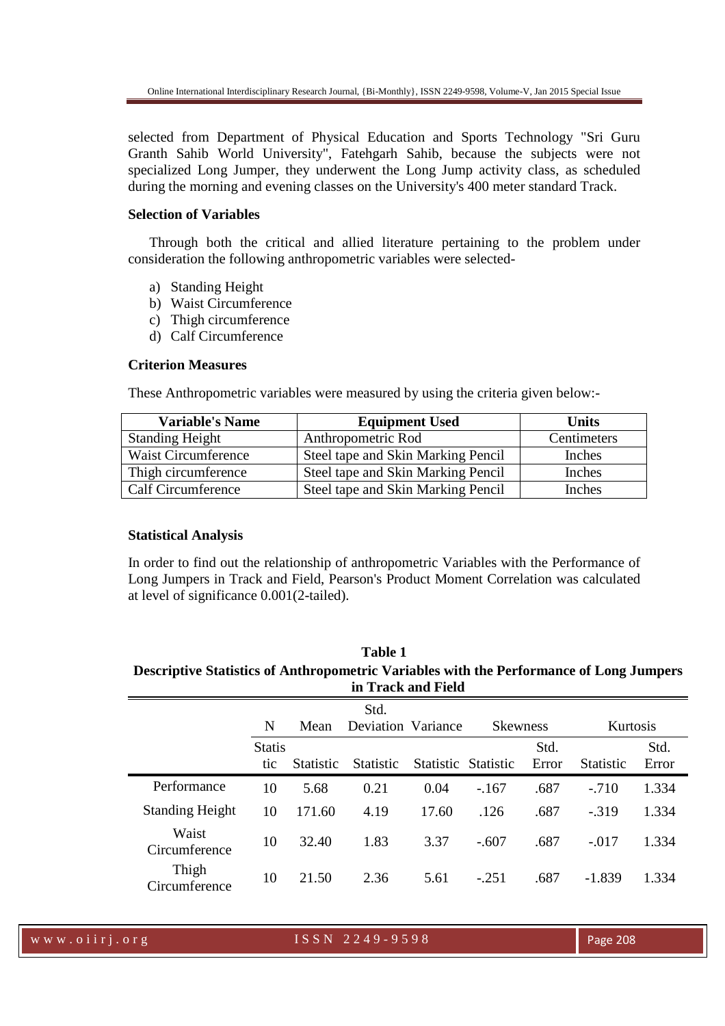selected from Department of Physical Education and Sports Technology "Sri Guru Granth Sahib World University", Fatehgarh Sahib, because the subjects were not specialized Long Jumper, they underwent the Long Jump activity class, as scheduled during the morning and evening classes on the University's 400 meter standard Track.

#### **Selection of Variables**

Through both the critical and allied literature pertaining to the problem under consideration the following anthropometric variables were selected-

- a) Standing Height
- b) Waist Circumference
- c) Thigh circumference
- d) Calf Circumference

#### **Criterion Measures**

These Anthropometric variables were measured by using the criteria given below:-

| <b>Variable's Name</b>    | <b>Equipment Used</b>              | <b>Units</b> |
|---------------------------|------------------------------------|--------------|
| <b>Standing Height</b>    | Anthropometric Rod                 | Centimeters  |
| Waist Circumference       | Steel tape and Skin Marking Pencil | Inches       |
| Thigh circumference       | Steel tape and Skin Marking Pencil | Inches       |
| <b>Calf Circumference</b> | Steel tape and Skin Marking Pencil | Inches       |

# **Statistical Analysis**

In order to find out the relationship of anthropometric Variables with the Performance of Long Jumpers in Track and Field, Pearson's Product Moment Correlation was calculated at level of significance 0.001(2-tailed).

| Table 1                                                                                        |
|------------------------------------------------------------------------------------------------|
| <b>Descriptive Statistics of Anthropometric Variables with the Performance of Long Jumpers</b> |
| in Track and Field                                                                             |

|                        | N                    | Mean             | Std.<br>Deviation Variance |                     | <b>Skewness</b> |               | Kurtosis         |               |
|------------------------|----------------------|------------------|----------------------------|---------------------|-----------------|---------------|------------------|---------------|
|                        | <b>Statis</b><br>tic | <b>Statistic</b> | <b>Statistic</b>           | Statistic Statistic |                 | Std.<br>Error | <b>Statistic</b> | Std.<br>Error |
| Performance            | 10                   | 5.68             | 0.21                       | 0.04                | $-.167$         | .687          | $-.710$          | 1.334         |
| <b>Standing Height</b> | 10                   | 171.60           | 4.19                       | 17.60               | .126            | .687          | $-0.319$         | 1.334         |
| Waist<br>Circumference | 10                   | 32.40            | 1.83                       | 3.37                | $-.607$         | .687          | $-.017$          | 1.334         |
| Thigh<br>Circumference | 10                   | 21.50            | 2.36                       | 5.61                | $-.251$         | .687          | $-1.839$         | 1.334         |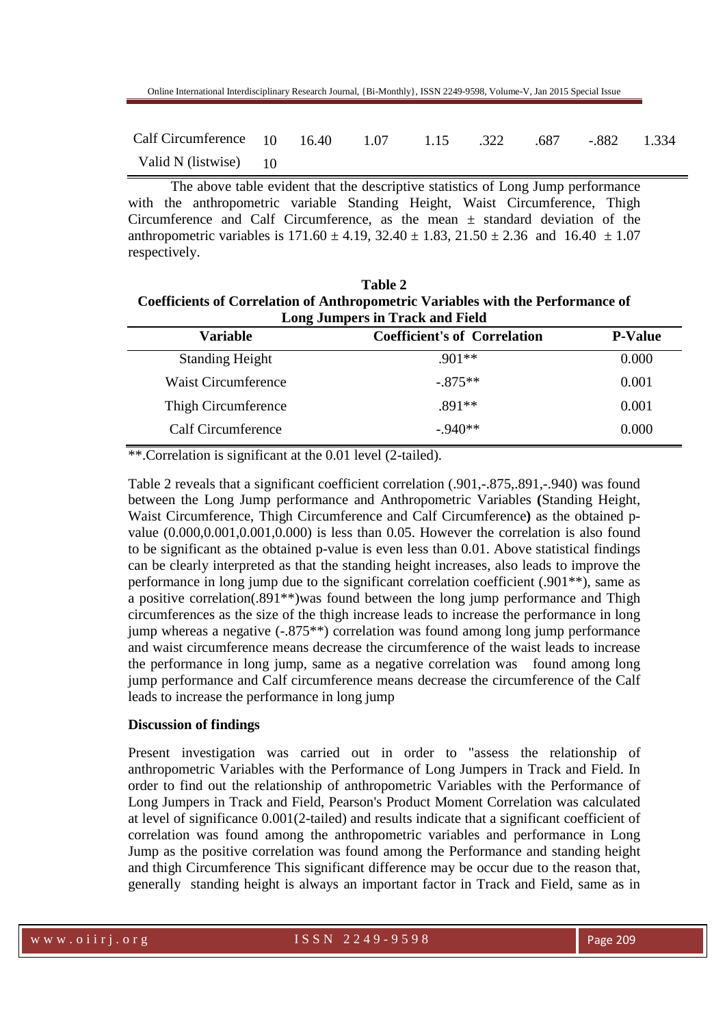| Calf Circumference 10 16.40 1.07 1.15 .322 .687 -.882 1.334 |  |  |  |  |
|-------------------------------------------------------------|--|--|--|--|
| Valid N (listwise) 10                                       |  |  |  |  |

The above table evident that the descriptive statistics of Long Jump performance with the anthropometric variable Standing Height, Waist Circumference, Thigh Circumference and Calf Circumference, as the mean  $\pm$  standard deviation of the anthropometric variables is  $171.60 \pm 4.19$ ,  $32.40 \pm 1.83$ ,  $21.50 \pm 2.36$  and  $16.40 \pm 1.07$ respectively.

**Table 2 Coefficients of Correlation of Anthropometric Variables with the Performance of Long Jumpers in Track and Field** 

| <b>Variable</b>            | <b>Coefficient's of Correlation</b> | <b>P-Value</b> |
|----------------------------|-------------------------------------|----------------|
| <b>Standing Height</b>     | $901**$                             | 0.000          |
| <b>Waist Circumference</b> | $-875**$                            | 0.001          |
| Thigh Circumference        | $.891**$                            | 0.001          |
| Calf Circumference         | $-940**$                            | 0.000          |

\*\*.Correlation is significant at the 0.01 level (2-tailed).

Table 2 reveals that a significant coefficient correlation (.901,-.875,.891,-.940) was found between the Long Jump performance and Anthropometric Variables **(**Standing Height, Waist Circumference, Thigh Circumference and Calf Circumference**)** as the obtained pvalue  $(0.000, 0.001, 0.001, 0.000)$  is less than 0.05. However the correlation is also found to be significant as the obtained p-value is even less than 0.01. Above statistical findings can be clearly interpreted as that the standing height increases, also leads to improve the performance in long jump due to the significant correlation coefficient (.901\*\*), same as a positive correlation(.891\*\*)was found between the long jump performance and Thigh circumferences as the size of the thigh increase leads to increase the performance in long jump whereas a negative (-.875\*\*) correlation was found among long jump performance and waist circumference means decrease the circumference of the waist leads to increase the performance in long jump, same as a negative correlation was found among long jump performance and Calf circumference means decrease the circumference of the Calf leads to increase the performance in long jump

## **Discussion of findings**

Present investigation was carried out in order to "assess the relationship of anthropometric Variables with the Performance of Long Jumpers in Track and Field. In order to find out the relationship of anthropometric Variables with the Performance of Long Jumpers in Track and Field, Pearson's Product Moment Correlation was calculated at level of significance 0.001(2-tailed) and results indicate that a significant coefficient of correlation was found among the anthropometric variables and performance in Long Jump as the positive correlation was found among the Performance and standing height and thigh Circumference This significant difference may be occur due to the reason that, generally standing height is always an important factor in Track and Field, same as in